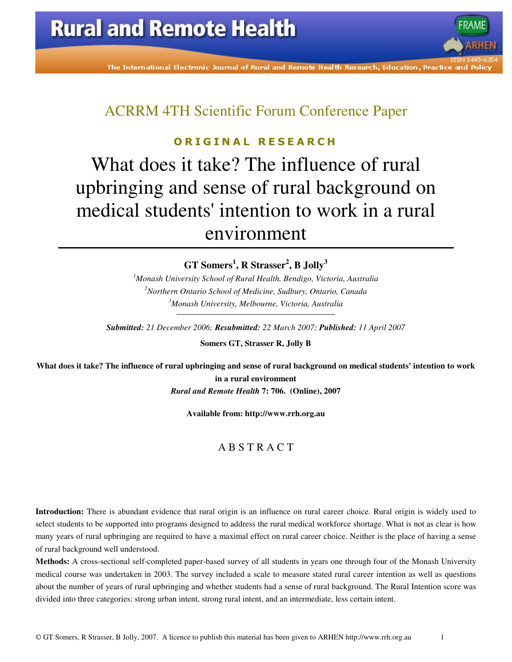The International Electronic Journal of Rural and Remote Health Research, Education, Practice and Polic

ACRRM 4TH Scientific Forum Conference Paper

### O R I G I N A L R E S E A R C H

What does it take? The influence of rural upbringing and sense of rural background on medical students' intention to work in a rural environment

**GT Somers<sup>1</sup> , R Strasser<sup>2</sup> , B Jolly<sup>3</sup>**

*<sup>1</sup>Monash University School of Rural Health, Bendigo, Victoria, Australia <sup>2</sup>Northern Ontario School of Medicine, Sudbury, Ontario, Canada <sup>3</sup>Monash University, Melbourne, Victoria, Australia* 

*Submitted: 21 December 2006; Resubmitted: 22 March 2007; Published: 11 April 2007* 

**Somers GT, Strasser R, Jolly B** 

**What does it take? The influence of rural upbringing and sense of rural background on medical students' intention to work in a rural environment**  *Rural and Remote Health* **7: 706. (Online), 2007** 

**Available from: http://www.rrh.org.au** 

### A B S T R A C T

**Introduction:** There is abundant evidence that rural origin is an influence on rural career choice. Rural origin is widely used to select students to be supported into programs designed to address the rural medical workforce shortage. What is not as clear is how many years of rural upbringing are required to have a maximal effect on rural career choice. Neither is the place of having a sense of rural background well understood.

**Methods:** A cross-sectional self-completed paper-based survey of all students in years one through four of the Monash University medical course was undertaken in 2003. The survey included a scale to measure stated rural career intention as well as questions about the number of years of rural upbringing and whether students had a sense of rural background. The Rural Intention score was divided into three categories: strong urban intent, strong rural intent, and an intermediate, less certain intent.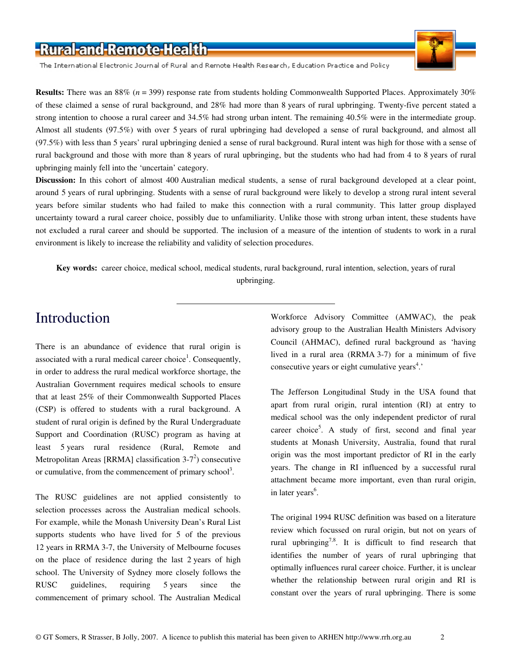The International Electronic Journal of Rural and Remote Health Research, Education Practice and Policy

**Results:** There was an 88% (*n* = 399) response rate from students holding Commonwealth Supported Places. Approximately 30% of these claimed a sense of rural background, and 28% had more than 8 years of rural upbringing. Twenty-five percent stated a strong intention to choose a rural career and 34.5% had strong urban intent. The remaining 40.5% were in the intermediate group. Almost all students (97.5%) with over 5 years of rural upbringing had developed a sense of rural background, and almost all (97.5%) with less than 5 years' rural upbringing denied a sense of rural background. Rural intent was high for those with a sense of rural background and those with more than 8 years of rural upbringing, but the students who had had from 4 to 8 years of rural upbringing mainly fell into the 'uncertain' category.

**Discussion:** In this cohort of almost 400 Australian medical students, a sense of rural background developed at a clear point, around 5 years of rural upbringing. Students with a sense of rural background were likely to develop a strong rural intent several years before similar students who had failed to make this connection with a rural community. This latter group displayed uncertainty toward a rural career choice, possibly due to unfamiliarity. Unlike those with strong urban intent, these students have not excluded a rural career and should be supported. The inclusion of a measure of the intention of students to work in a rural environment is likely to increase the reliability and validity of selection procedures.

**Key words:** career choice, medical school, medical students, rural background, rural intention, selection, years of rural upbringing.

## Introduction

There is an abundance of evidence that rural origin is associated with a rural medical career choice<sup>1</sup>. Consequently, in order to address the rural medical workforce shortage, the Australian Government requires medical schools to ensure that at least 25% of their Commonwealth Supported Places (CSP) is offered to students with a rural background. A student of rural origin is defined by the Rural Undergraduate Support and Coordination (RUSC) program as having at least 5 years rural residence (Rural, Remote and Metropolitan Areas [RRMA] classification  $3-7^2$ ) consecutive or cumulative, from the commencement of primary school<sup>3</sup>.

The RUSC guidelines are not applied consistently to selection processes across the Australian medical schools. For example, while the Monash University Dean's Rural List supports students who have lived for 5 of the previous 12 years in RRMA 3-7, the University of Melbourne focuses on the place of residence during the last 2 years of high school. The University of Sydney more closely follows the RUSC guidelines, requiring 5 years since the commencement of primary school. The Australian Medical Workforce Advisory Committee (AMWAC), the peak advisory group to the Australian Health Ministers Advisory Council (AHMAC), defined rural background as 'having lived in a rural area (RRMA 3-7) for a minimum of five consecutive years or eight cumulative years<sup>4</sup>.'

The Jefferson Longitudinal Study in the USA found that apart from rural origin, rural intention (RI) at entry to medical school was the only independent predictor of rural career choice<sup>5</sup>. A study of first, second and final year students at Monash University, Australia, found that rural origin was the most important predictor of RI in the early years. The change in RI influenced by a successful rural attachment became more important, even than rural origin, in later years<sup>6</sup>.

The original 1994 RUSC definition was based on a literature review which focussed on rural origin, but not on years of rural upbringing<sup>7,8</sup>. It is difficult to find research that identifies the number of years of rural upbringing that optimally influences rural career choice. Further, it is unclear whether the relationship between rural origin and RI is constant over the years of rural upbringing. There is some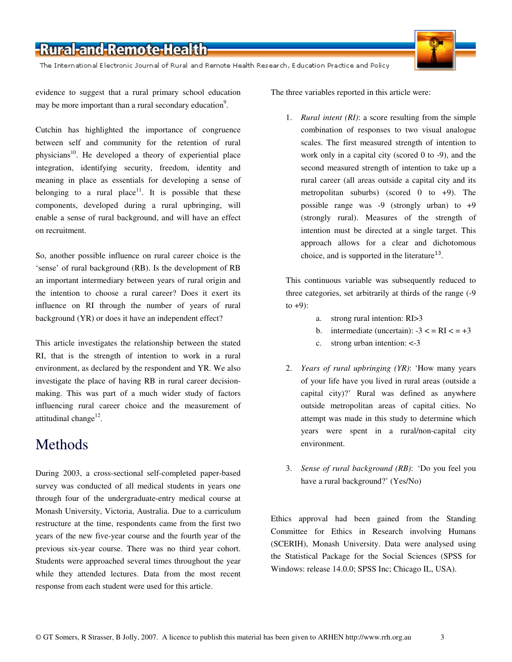The International Electronic Journal of Rural and Remote Health Research, Education Practice and Policy

evidence to suggest that a rural primary school education may be more important than a rural secondary education<sup>9</sup>.

Cutchin has highlighted the importance of congruence between self and community for the retention of rural physicians<sup>10</sup>. He developed a theory of experiential place integration, identifying security, freedom, identity and meaning in place as essentials for developing a sense of belonging to a rural place<sup>11</sup>. It is possible that these components, developed during a rural upbringing, will enable a sense of rural background, and will have an effect on recruitment.

So, another possible influence on rural career choice is the 'sense' of rural background (RB). Is the development of RB an important intermediary between years of rural origin and the intention to choose a rural career? Does it exert its influence on RI through the number of years of rural background (YR) or does it have an independent effect?

This article investigates the relationship between the stated RI, that is the strength of intention to work in a rural environment, as declared by the respondent and YR. We also investigate the place of having RB in rural career decisionmaking. This was part of a much wider study of factors influencing rural career choice and the measurement of attitudinal change<sup>12</sup>.

### Methods

During 2003, a cross-sectional self-completed paper-based survey was conducted of all medical students in years one through four of the undergraduate-entry medical course at Monash University, Victoria, Australia. Due to a curriculum restructure at the time, respondents came from the first two years of the new five-year course and the fourth year of the previous six-year course. There was no third year cohort. Students were approached several times throughout the year while they attended lectures. Data from the most recent response from each student were used for this article.

The three variables reported in this article were:

1. *Rural intent (RI)*: a score resulting from the simple combination of responses to two visual analogue scales. The first measured strength of intention to work only in a capital city (scored 0 to -9), and the second measured strength of intention to take up a rural career (all areas outside a capital city and its metropolitan suburbs) (scored 0 to +9). The possible range was -9 (strongly urban) to +9 (strongly rural). Measures of the strength of intention must be directed at a single target. This approach allows for a clear and dichotomous choice, and is supported in the literature<sup>13</sup>.

This continuous variable was subsequently reduced to three categories, set arbitrarily at thirds of the range (-9 to  $+9$ :

- a. strong rural intention: RI>3
- b. intermediate (uncertain):  $-3 <$  = RI  $<$  =  $+3$
- c. strong urban intention: <-3
- 2. *Years of rural upbringing (YR)*: 'How many years of your life have you lived in rural areas (outside a capital city)?' Rural was defined as anywhere outside metropolitan areas of capital cities. No attempt was made in this study to determine which years were spent in a rural/non-capital city environment.
- 3. *Sense of rural background (RB)*: 'Do you feel you have a rural background?' (Yes/No)

Ethics approval had been gained from the Standing Committee for Ethics in Research involving Humans (SCERIH), Monash University. Data were analysed using the Statistical Package for the Social Sciences (SPSS for Windows: release 14.0.0; SPSS Inc; Chicago IL, USA).

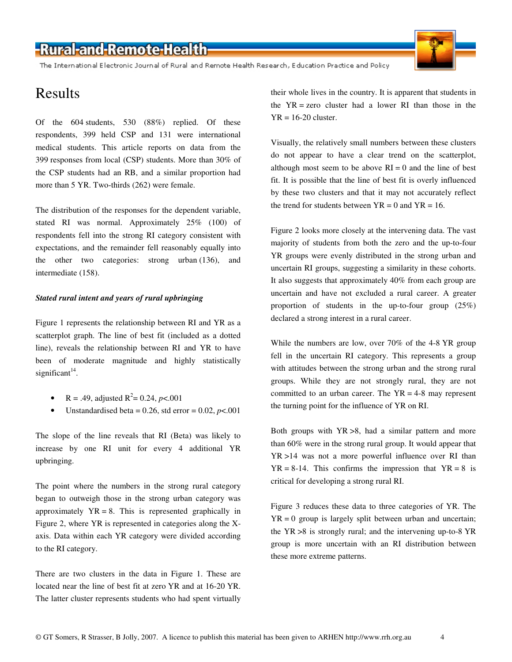The International Electronic Journal of Rural and Remote Health Research, Education Practice and Policy

### Results

Of the 604 students, 530 (88%) replied. Of these respondents, 399 held CSP and 131 were international medical students. This article reports on data from the 399 responses from local (CSP) students. More than 30% of the CSP students had an RB, and a similar proportion had more than 5 YR. Two-thirds (262) were female.

The distribution of the responses for the dependent variable, stated RI was normal. Approximately 25% (100) of respondents fell into the strong RI category consistent with expectations, and the remainder fell reasonably equally into the other two categories: strong urban (136), and intermediate (158).

### *Stated rural intent and years of rural upbringing*

Figure 1 represents the relationship between RI and YR as a scatterplot graph. The line of best fit (included as a dotted line), reveals the relationship between RI and YR to have been of moderate magnitude and highly statistically significant $14$ .

- R = .49, adjusted R<sup>2</sup> = 0.24, *p*<.001
- Unstandardised beta =  $0.26$ , std error =  $0.02$ ,  $p < .001$

The slope of the line reveals that RI (Beta) was likely to increase by one RI unit for every 4 additional YR upbringing.

The point where the numbers in the strong rural category began to outweigh those in the strong urban category was approximately  $YR = 8$ . This is represented graphically in Figure 2, where YR is represented in categories along the Xaxis. Data within each YR category were divided according to the RI category.

There are two clusters in the data in Figure 1. These are located near the line of best fit at zero YR and at 16-20 YR. The latter cluster represents students who had spent virtually their whole lives in the country. It is apparent that students in the YR = zero cluster had a lower RI than those in the  $YR = 16-20$  cluster.

Visually, the relatively small numbers between these clusters do not appear to have a clear trend on the scatterplot, although most seem to be above  $RI = 0$  and the line of best fit. It is possible that the line of best fit is overly influenced by these two clusters and that it may not accurately reflect the trend for students between  $YR = 0$  and  $YR = 16$ .

Figure 2 looks more closely at the intervening data. The vast majority of students from both the zero and the up-to-four YR groups were evenly distributed in the strong urban and uncertain RI groups, suggesting a similarity in these cohorts. It also suggests that approximately 40% from each group are uncertain and have not excluded a rural career. A greater proportion of students in the up-to-four group (25%) declared a strong interest in a rural career.

While the numbers are low, over 70% of the 4-8 YR group fell in the uncertain RI category. This represents a group with attitudes between the strong urban and the strong rural groups. While they are not strongly rural, they are not committed to an urban career. The  $YR = 4-8$  may represent the turning point for the influence of YR on RI.

Both groups with YR >8, had a similar pattern and more than 60% were in the strong rural group. It would appear that YR >14 was not a more powerful influence over RI than  $YR = 8-14$ . This confirms the impression that  $YR = 8$  is critical for developing a strong rural RI.

Figure 3 reduces these data to three categories of YR. The  $YR = 0$  group is largely split between urban and uncertain; the YR >8 is strongly rural; and the intervening up-to-8 YR group is more uncertain with an RI distribution between these more extreme patterns.

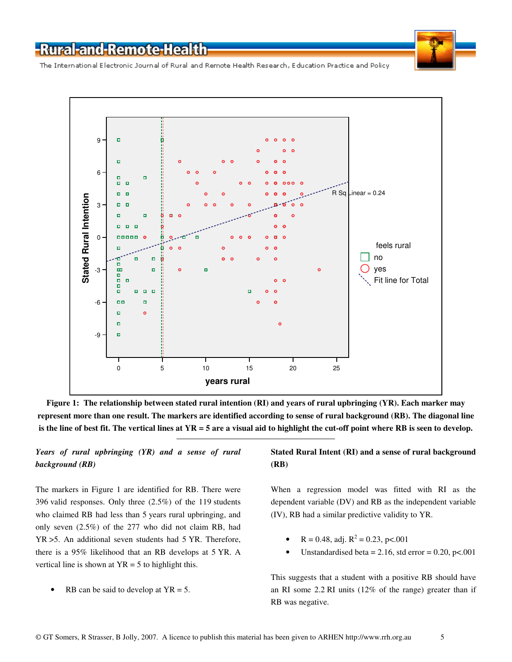The International Electronic Journal of Rural and Remote Health Research, Education Practice and Policy



**Figure 1: The relationship between stated rural intention (RI) and years of rural upbringing (YR). Each marker may represent more than one result. The markers are identified according to sense of rural background (RB). The diagonal line is the line of best fit. The vertical lines at YR = 5 are a visual aid to highlight the cut-off point where RB is seen to develop.** 

### *Years of rural upbringing (YR) and a sense of rural background (RB)*

The markers in Figure 1 are identified for RB. There were 396 valid responses. Only three (2.5%) of the 119 students who claimed RB had less than 5 years rural upbringing, and only seven (2.5%) of the 277 who did not claim RB, had YR >5. An additional seven students had 5 YR. Therefore, there is a 95% likelihood that an RB develops at 5 YR. A vertical line is shown at  $YR = 5$  to highlight this.

• RB can be said to develop at  $YR = 5$ .

### **Stated Rural Intent (RI) and a sense of rural background (RB)**

When a regression model was fitted with RI as the dependent variable (DV) and RB as the independent variable (IV), RB had a similar predictive validity to YR.

- R = 0.48, adj.  $R^2 = 0.23$ , p<.001
- Unstandardised beta =  $2.16$ , std error =  $0.20$ , p<.001

This suggests that a student with a positive RB should have an RI some 2.2 RI units (12% of the range) greater than if RB was negative.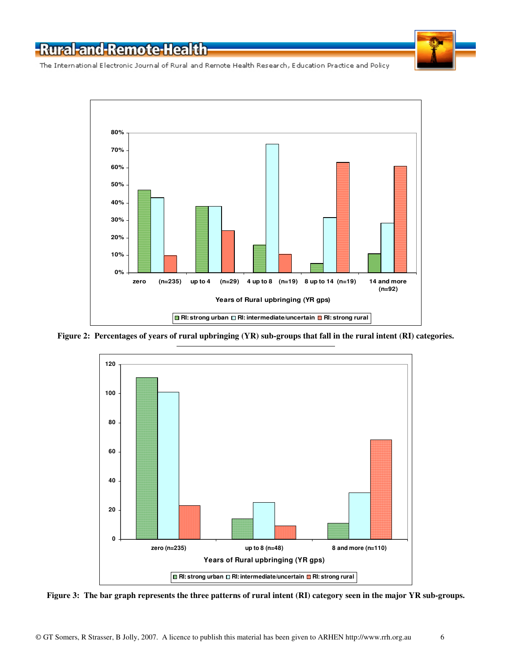

The International Electronic Journal of Rural and Remote Health Research, Education Practice and Policy



**Figure 2: Percentages of years of rural upbringing (YR) sub-groups that fall in the rural intent (RI) categories.** 



**Figure 3: The bar graph represents the three patterns of rural intent (RI) category seen in the major YR sub-groups.**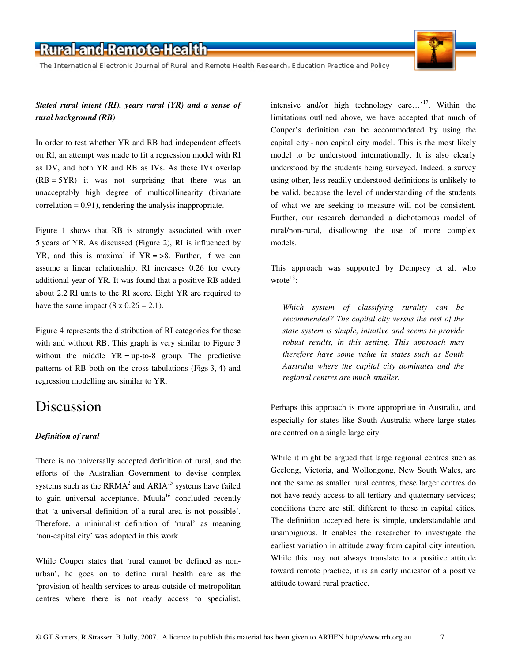The International Electronic Journal of Rural and Remote Health Research, Education Practice and Policy



### *Stated rural intent (RI), years rural (YR) and a sense of rural background (RB)*

In order to test whether YR and RB had independent effects on RI, an attempt was made to fit a regression model with RI as DV, and both YR and RB as IVs. As these IVs overlap  $(RB = 5YR)$  it was not surprising that there was an unacceptably high degree of multicollinearity (bivariate  $correlation = 0.91$ , rendering the analysis inappropriate.

Figure 1 shows that RB is strongly associated with over 5 years of YR. As discussed (Figure 2), RI is influenced by YR, and this is maximal if  $YR = >8$ . Further, if we can assume a linear relationship, RI increases 0.26 for every additional year of YR. It was found that a positive RB added about 2.2 RI units to the RI score. Eight YR are required to have the same impact  $(8 \times 0.26 = 2.1)$ .

Figure 4 represents the distribution of RI categories for those with and without RB. This graph is very similar to Figure 3 without the middle  $YR = up-to-8$  group. The predictive patterns of RB both on the cross-tabulations (Figs 3, 4) and regression modelling are similar to YR.

### Discussion

#### *Definition of rural*

There is no universally accepted definition of rural, and the efforts of the Australian Government to devise complex systems such as the  $RRMA<sup>2</sup>$  and  $ARIA<sup>15</sup>$  systems have failed to gain universal acceptance. Muula<sup>16</sup> concluded recently that 'a universal definition of a rural area is not possible'. Therefore, a minimalist definition of 'rural' as meaning 'non-capital city' was adopted in this work.

While Couper states that 'rural cannot be defined as nonurban', he goes on to define rural health care as the 'provision of health services to areas outside of metropolitan centres where there is not ready access to specialist, intensive and/or high technology care...'<sup>17</sup>. Within the limitations outlined above, we have accepted that much of Couper's definition can be accommodated by using the capital city - non capital city model. This is the most likely model to be understood internationally. It is also clearly understood by the students being surveyed. Indeed, a survey using other, less readily understood definitions is unlikely to be valid, because the level of understanding of the students of what we are seeking to measure will not be consistent. Further, our research demanded a dichotomous model of rural/non-rural, disallowing the use of more complex models.

This approach was supported by Dempsey et al. who wrote $^{13}$ :

*Which system of classifying rurality can be recommended? The capital city versus the rest of the state system is simple, intuitive and seems to provide robust results, in this setting. This approach may therefore have some value in states such as South Australia where the capital city dominates and the regional centres are much smaller.* 

Perhaps this approach is more appropriate in Australia, and especially for states like South Australia where large states are centred on a single large city.

While it might be argued that large regional centres such as Geelong, Victoria, and Wollongong, New South Wales, are not the same as smaller rural centres, these larger centres do not have ready access to all tertiary and quaternary services; conditions there are still different to those in capital cities. The definition accepted here is simple, understandable and unambiguous. It enables the researcher to investigate the earliest variation in attitude away from capital city intention. While this may not always translate to a positive attitude toward remote practice, it is an early indicator of a positive attitude toward rural practice.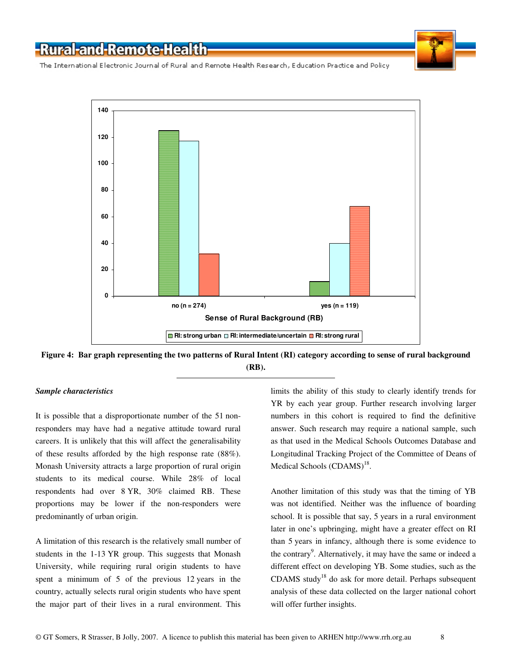

The International Electronic Journal of Rural and Remote Health Research, Education Practice and Policy





#### *Sample characteristics*

It is possible that a disproportionate number of the 51 nonresponders may have had a negative attitude toward rural careers. It is unlikely that this will affect the generalisability of these results afforded by the high response rate (88%). Monash University attracts a large proportion of rural origin students to its medical course. While 28% of local respondents had over 8 YR, 30% claimed RB. These proportions may be lower if the non-responders were predominantly of urban origin.

A limitation of this research is the relatively small number of students in the 1-13 YR group. This suggests that Monash University, while requiring rural origin students to have spent a minimum of 5 of the previous 12 years in the country, actually selects rural origin students who have spent the major part of their lives in a rural environment. This limits the ability of this study to clearly identify trends for YR by each year group. Further research involving larger numbers in this cohort is required to find the definitive answer. Such research may require a national sample, such as that used in the Medical Schools Outcomes Database and Longitudinal Tracking Project of the Committee of Deans of Medical Schools (CDAMS)<sup>18</sup>.

Another limitation of this study was that the timing of YB was not identified. Neither was the influence of boarding school. It is possible that say, 5 years in a rural environment later in one's upbringing, might have a greater effect on RI than 5 years in infancy, although there is some evidence to the contrary<sup>9</sup>. Alternatively, it may have the same or indeed a different effect on developing YB. Some studies, such as the CDAMS study<sup>18</sup> do ask for more detail. Perhaps subsequent analysis of these data collected on the larger national cohort will offer further insights.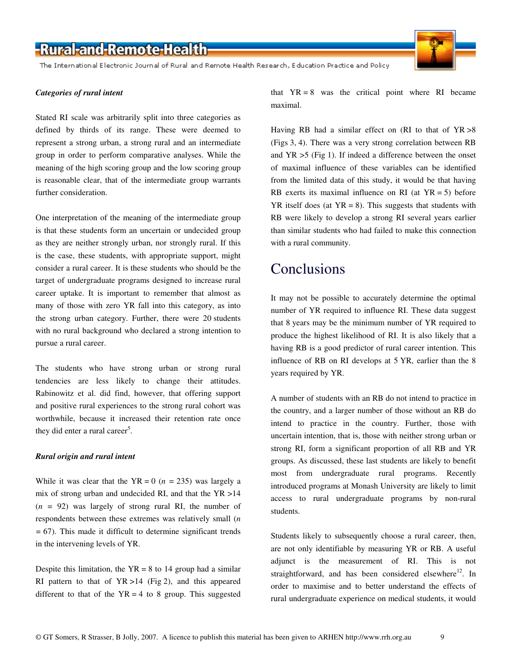The International Electronic Journal of Rural and Remote Health Research, Education Practice and Policy

#### *Categories of rural intent*

Stated RI scale was arbitrarily split into three categories as defined by thirds of its range. These were deemed to represent a strong urban, a strong rural and an intermediate group in order to perform comparative analyses. While the meaning of the high scoring group and the low scoring group is reasonable clear, that of the intermediate group warrants further consideration.

One interpretation of the meaning of the intermediate group is that these students form an uncertain or undecided group as they are neither strongly urban, nor strongly rural. If this is the case, these students, with appropriate support, might consider a rural career. It is these students who should be the target of undergraduate programs designed to increase rural career uptake. It is important to remember that almost as many of those with zero YR fall into this category, as into the strong urban category. Further, there were 20 students with no rural background who declared a strong intention to pursue a rural career.

The students who have strong urban or strong rural tendencies are less likely to change their attitudes. Rabinowitz et al. did find, however, that offering support and positive rural experiences to the strong rural cohort was worthwhile, because it increased their retention rate once they did enter a rural career<sup>5</sup>.

#### *Rural origin and rural intent*

While it was clear that the  $YR = 0$  ( $n = 235$ ) was largely a mix of strong urban and undecided RI, and that the YR >14 (*n =* 92) was largely of strong rural RI, the number of respondents between these extremes was relatively small (*n =* 67). This made it difficult to determine significant trends in the intervening levels of YR.

Despite this limitation, the  $YR = 8$  to 14 group had a similar RI pattern to that of  $YR > 14$  (Fig 2), and this appeared different to that of the  $YR = 4$  to 8 group. This suggested that  $YR = 8$  was the critical point where RI became maximal.

Having RB had a similar effect on (RI to that of YR >8 (Figs 3, 4). There was a very strong correlation between RB and  $YR > 5$  (Fig 1). If indeed a difference between the onset of maximal influence of these variables can be identified from the limited data of this study, it would be that having RB exerts its maximal influence on RI (at  $YR = 5$ ) before  $YR$  itself does (at  $YR = 8$ ). This suggests that students with RB were likely to develop a strong RI several years earlier than similar students who had failed to make this connection with a rural community.

### Conclusions

It may not be possible to accurately determine the optimal number of YR required to influence RI. These data suggest that 8 years may be the minimum number of YR required to produce the highest likelihood of RI. It is also likely that a having RB is a good predictor of rural career intention. This influence of RB on RI develops at 5 YR, earlier than the 8 years required by YR.

A number of students with an RB do not intend to practice in the country, and a larger number of those without an RB do intend to practice in the country. Further, those with uncertain intention, that is, those with neither strong urban or strong RI, form a significant proportion of all RB and YR groups. As discussed, these last students are likely to benefit most from undergraduate rural programs. Recently introduced programs at Monash University are likely to limit access to rural undergraduate programs by non-rural students.

Students likely to subsequently choose a rural career, then, are not only identifiable by measuring YR or RB. A useful adjunct is the measurement of RI. This is not straightforward, and has been considered elsewhere<sup>12</sup>. In order to maximise and to better understand the effects of rural undergraduate experience on medical students, it would

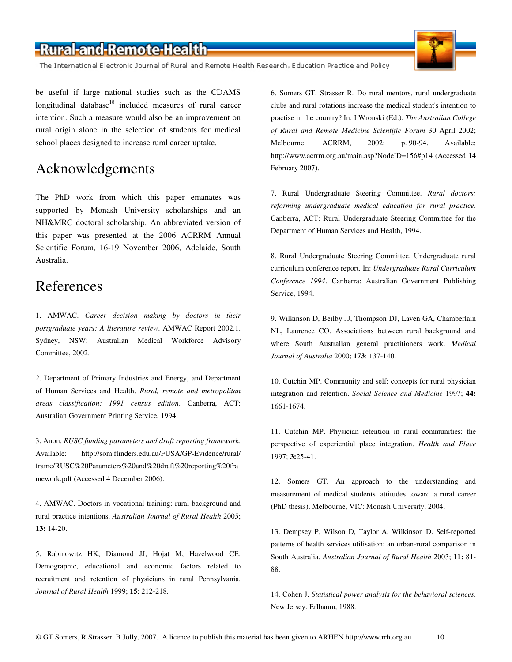The International Electronic Journal of Rural and Remote Health Research, Education Practice and Policy

be useful if large national studies such as the CDAMS longitudinal database<sup>18</sup> included measures of rural career intention. Such a measure would also be an improvement on rural origin alone in the selection of students for medical school places designed to increase rural career uptake.

### Acknowledgements

The PhD work from which this paper emanates was supported by Monash University scholarships and an NH&MRC doctoral scholarship. An abbreviated version of this paper was presented at the 2006 ACRRM Annual Scientific Forum, 16-19 November 2006, Adelaide, South Australia.

### References

1. AMWAC. *Career decision making by doctors in their postgraduate years: A literature review*. AMWAC Report 2002.1. Sydney, NSW: Australian Medical Workforce Advisory Committee, 2002.

2. Department of Primary Industries and Energy, and Department of Human Services and Health. *Rural, remote and metropolitan areas classification: 1991 census edition*. Canberra, ACT: Australian Government Printing Service, 1994.

3. Anon. *RUSC funding parameters and draft reporting framework*. Available: http://som.flinders.edu.au/FUSA/GP-Evidence/rural/ frame/RUSC%20Parameters%20and%20draft%20reporting%20fra mework.pdf (Accessed 4 December 2006).

4. AMWAC. Doctors in vocational training: rural background and rural practice intentions. *Australian Journal of Rural Health* 2005; **13:** 14-20.

5. Rabinowitz HK, Diamond JJ, Hojat M, Hazelwood CE. Demographic, educational and economic factors related to recruitment and retention of physicians in rural Pennsylvania. *Journal of Rural Health* 1999; **15**: 212-218.

6. Somers GT, Strasser R. Do rural mentors, rural undergraduate clubs and rural rotations increase the medical student's intention to practise in the country? In: I Wronski (Ed.). *The Australian College of Rural and Remote Medicine Scientific Forum* 30 April 2002; Melbourne: ACRRM, 2002; p. 90-94. Available: http://www.acrrm.org.au/main.asp?NodeID=156#p14 (Accessed 14 February 2007).

7. Rural Undergraduate Steering Committee. *Rural doctors: reforming undergraduate medical education for rural practice*. Canberra, ACT: Rural Undergraduate Steering Committee for the Department of Human Services and Health, 1994.

8. Rural Undergraduate Steering Committee. Undergraduate rural curriculum conference report. In: *Undergraduate Rural Curriculum Conference 1994*. Canberra: Australian Government Publishing Service, 1994.

9. Wilkinson D, Beilby JJ, Thompson DJ, Laven GA, Chamberlain NL, Laurence CO. Associations between rural background and where South Australian general practitioners work. *Medical Journal of Australia* 2000; **173**: 137-140.

10. Cutchin MP. Community and self: concepts for rural physician integration and retention. *Social Science and Medicine* 1997; **44:** 1661-1674.

11. Cutchin MP. Physician retention in rural communities: the perspective of experiential place integration. *Health and Place* 1997; **3:**25-41.

12. Somers GT. An approach to the understanding and measurement of medical students' attitudes toward a rural career (PhD thesis). Melbourne, VIC: Monash University, 2004.

13. Dempsey P, Wilson D, Taylor A, Wilkinson D. Self-reported patterns of health services utilisation: an urban-rural comparison in South Australia. *Australian Journal of Rural Health* 2003; **11:** 81- 88.

14. Cohen J. *Statistical power analysis for the behavioral sciences*. New Jersey: Erlbaum, 1988.